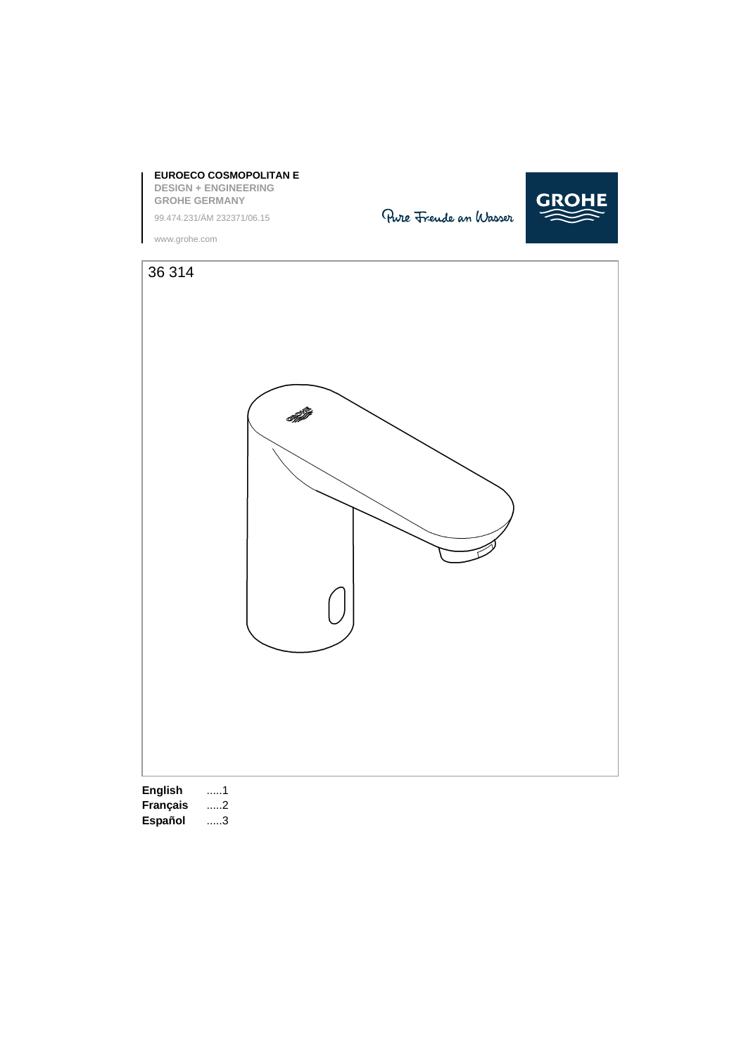

**F** .....3 **DK** .....8 **GR** .....13 **SK** .....18 **LV** .....23 **RUS** .....28

**D** .....1 **NL** .....6 **PL** .....11 **P** .....16 **BG** .....21 **CN** .....26 **English** .....1 **GB** .....2 **S** .....7 **UAE** .....12 **TR** .....17 **EST** .....22 **UA** .....27 **Français** .....2 **Español** .....3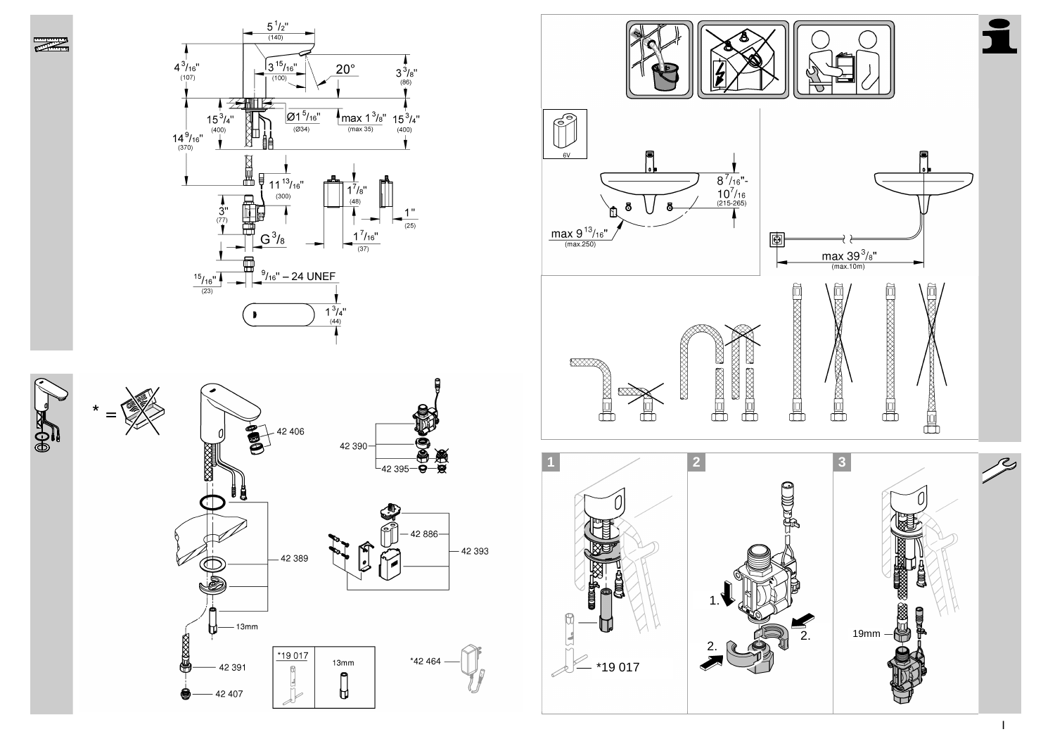



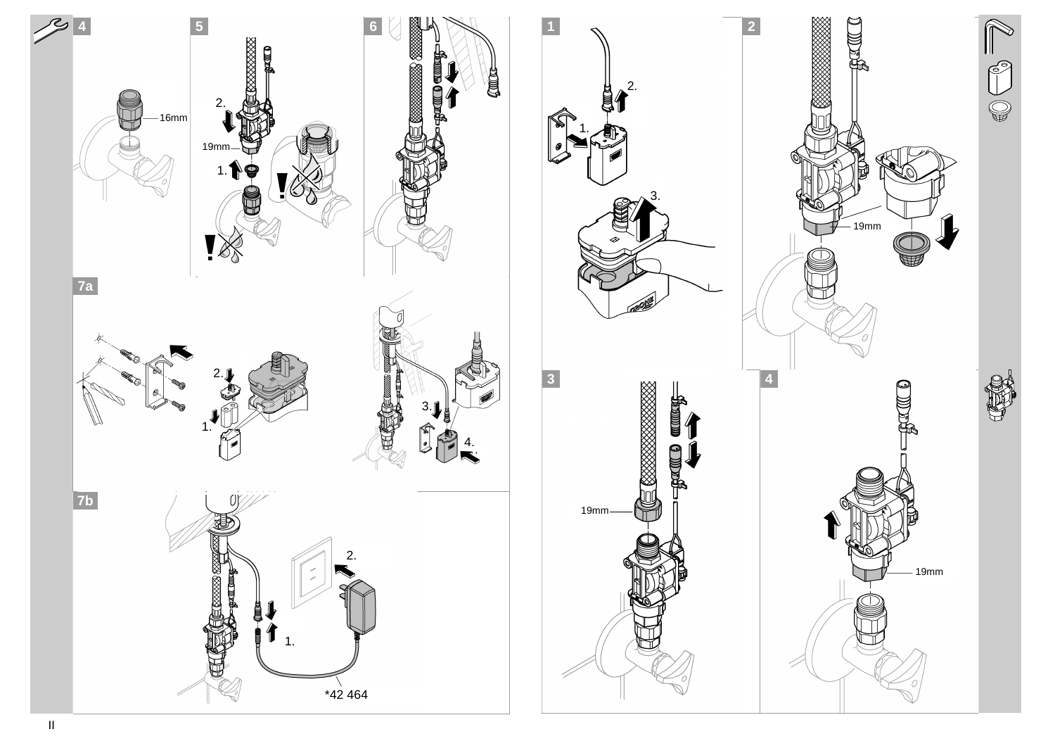